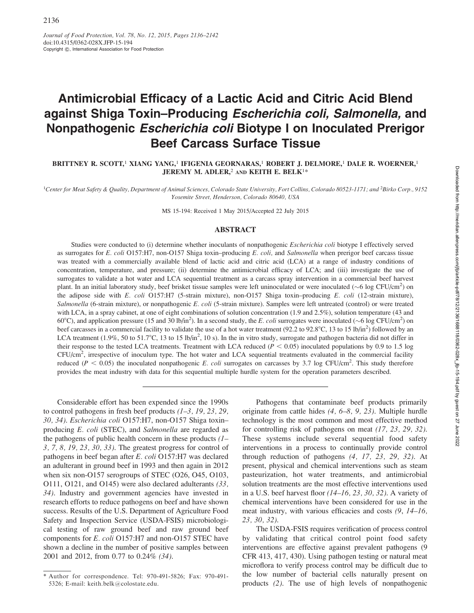# Antimicrobial Efficacy of a Lactic Acid and Citric Acid Blend against Shiga Toxin–Producing Escherichia coli, Salmonella, and Nonpathogenic Escherichia coli Biotype I on Inoculated Prerigor Beef Carcass Surface Tissue

BRITTNEY R. SCOTT,<sup>1</sup> XIANG YANG,<sup>1</sup> IFIGENIA GEORNARAS,<sup>1</sup> ROBERT J. DELMORE,<sup>1</sup> DALE R. WOERNER,<sup>1</sup> JEREMY M. ADLER,<sup>2</sup> AND KEITH E. BELK<sup>1\*</sup>

<sup>1</sup>Center for Meat Safety & Quality, Department of Animal Sciences, Colorado State University, Fort Collins, Colorado 80523-1171; and <sup>2</sup>Birko Corp., 9152 Yosemite Street, Henderson, Colorado 80640, USA

MS 15-194: Received 1 May 2015/Accepted 22 July 2015

## ABSTRACT

Studies were conducted to (i) determine whether inoculants of nonpathogenic *Escherichia coli* biotype I effectively served as surrogates for E. coli O157:H7, non-O157 Shiga toxin–producing E. coli, and Salmonella when prerigor beef carcass tissue was treated with a commercially available blend of lactic acid and citric acid (LCA) at a range of industry conditions of concentration, temperature, and pressure; (ii) determine the antimicrobial efficacy of LCA; and (iii) investigate the use of surrogates to validate a hot water and LCA sequential treatment as a carcass spray intervention in a commercial beef harvest plant. In an initial laboratory study, beef brisket tissue samples were left uninoculated or were inoculated ( $\sim$ 6 log CFU/cm<sup>2</sup>) on the adipose side with E. coli O157:H7 (5-strain mixture), non-O157 Shiga toxin–producing E. coli (12-strain mixture), Salmonella (6-strain mixture), or nonpathogenic E. coli (5-strain mixture). Samples were left untreated (control) or were treated with LCA, in a spray cabinet, at one of eight combinations of solution concentration (1.9 and 2.5%), solution temperature (43 and 60°C), and application pressure (15 and 30 lb/in<sup>2</sup>). In a second study, the E. coli surrogates were inoculated ( $\sim$ 6 log CFU/cm<sup>2</sup>) on beef carcasses in a commercial facility to validate the use of a hot water treatment (92.2 to 92.8°C, 13 to 15 lb/in<sup>2</sup>) followed by an LCA treatment (1.9%, 50 to 51.7°C, 13 to 15 lb/in<sup>2</sup>, 10 s). In the in vitro study, surrogate and pathogen bacteria did not differ in their response to the tested LCA treatments. Treatment with LCA reduced ( $P < 0.05$ ) inoculated populations by 0.9 to 1.5 log CFU/cm<sup>2</sup>, irrespective of inoculum type. The hot water and LCA sequential treatments evaluated in the commercial facility reduced ( $P < 0.05$ ) the inoculated nonpathogenic E. coli surrogates on carcasses by 3.7 log CFU/cm<sup>2</sup>. This study therefore provides the meat industry with data for this sequential multiple hurdle system for the operation parameters described.

Considerable effort has been expended since the 1990s to control pathogens in fresh beef products  $(1-3, 19, 23, 29, 1)$ 30, 34). Escherichia coli O157:H7, non-O157 Shiga toxin– producing E. coli (STEC), and Salmonella are regarded as the pathogens of public health concern in these products  $(I -$ 3, 7, 8, 19, 23, 30, 33). The greatest progress for control of pathogens in beef began after E. coli O157:H7 was declared an adulterant in ground beef in 1993 and then again in 2012 when six non-O157 serogroups of STEC (O26, O45, O103, O111, O121, and O145) were also declared adulterants (33, 34). Industry and government agencies have invested in research efforts to reduce pathogens on beef and have shown success. Results of the U.S. Department of Agriculture Food Safety and Inspection Service (USDA-FSIS) microbiological testing of raw ground beef and raw ground beef components for E. coli O157:H7 and non-O157 STEC have shown a decline in the number of positive samples between 2001 and 2012, from 0.77 to 0.24% (34).

Pathogens that contaminate beef products primarily originate from cattle hides (4, 6–8, 9, 23). Multiple hurdle technology is the most common and most effective method for controlling risk of pathogens on meat (17, 23, 29, 32). These systems include several sequential food safety interventions in a process to continually provide control through reduction of pathogens  $(4, 17, 23, 29, 32)$ . At present, physical and chemical interventions such as steam pasteurization, hot water treatments, and antimicrobial solution treatments are the most effective interventions used in a U.S. beef harvest floor  $(14–16, 23, 30, 32)$ . A variety of chemical interventions have been considered for use in the meat industry, with various efficacies and costs (9, 14–16, 23, 30, 32).

The USDA-FSIS requires verification of process control by validating that critical control point food safety interventions are effective against prevalent pathogens (9 CFR 413, 417, 430). Using pathogen testing or natural meat microflora to verify process control may be difficult due to the low number of bacterial cells naturally present on products (2). The use of high levels of nonpathogenic

<sup>\*</sup> Author for correspondence. Tel: 970-491-5826; Fax: 970-491- 5326; E-mail: keith.belk@colostate.edu.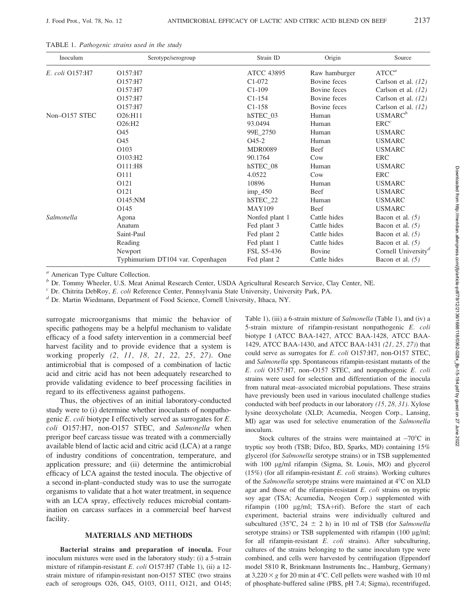| Inoculum        | Serotype/serogroup                | Strain ID         | Origin          | Source                          |
|-----------------|-----------------------------------|-------------------|-----------------|---------------------------------|
| E. coli Q157:H7 | O157:H7                           | <b>ATCC 43895</b> | Raw hamburger   | ATCC <sup>a</sup>               |
|                 | O157:H7                           | C1-072            | Bovine feces    | Carlson et al. $(12)$           |
|                 | O157:H7                           | $C1-109$          | Bovine feces    | Carlson et al. $(12)$           |
|                 | O157:H7                           | $C1-154$          | Bovine feces    | Carlson et al. $(12)$           |
|                 | O157:H7                           | $C1-158$          | Bovine feces    | Carlson et al. $(12)$           |
| Non-O157 STEC   | O26:H11                           | hSTEC 03          | Human           | USMARC <sup>b</sup>             |
|                 | O <sub>26</sub> :H <sub>2</sub>   | 93.0494           | Human           | $ERC^{c}$                       |
|                 | O <sub>45</sub>                   | 99E 2750          | Human           | <b>USMARC</b>                   |
|                 | O45                               | $O45-2$           | Human           | <b>USMARC</b>                   |
|                 | O <sub>103</sub>                  | <b>MDR0089</b>    | Beef            | <b>USMARC</b>                   |
|                 | O103:H <sub>2</sub>               | 90.1764           | Cow             | <b>ERC</b>                      |
|                 | O111:H8                           | hSTEC_08          | Human           | <b>USMARC</b>                   |
|                 | 0111                              | 4.0522            | C <sub>ow</sub> | <b>ERC</b>                      |
|                 | O121                              | 10896             | Human           | <b>USMARC</b>                   |
|                 | O121                              | $imp_450$         | Beef            | <b>USMARC</b>                   |
|                 | O145:NM                           | hSTEC_22          | Human           | <b>USMARC</b>                   |
|                 | O <sub>145</sub>                  | <b>MAY109</b>     | Beef            | <b>USMARC</b>                   |
| Salmonella      | Agona                             | Nonfed plant 1    | Cattle hides    | Bacon et al. $(5)$              |
|                 | Anatum                            | Fed plant 3       | Cattle hides    | Bacon et al. $(5)$              |
|                 | Saint-Paul                        | Fed plant 2       | Cattle hides    | Bacon et al. $(5)$              |
|                 | Reading                           | Fed plant 1       | Cattle hides    | Bacon et al. $(5)$              |
|                 | Newport                           | FSL S5-436        | Bovine          | Cornell University <sup>a</sup> |
|                 | Typhimurium DT104 var. Copenhagen | Fed plant 2       | Cattle hides    | Bacon et al. $(5)$              |

TABLE 1. Pathogenic strains used in the study

<sup>a</sup> American Type Culture Collection.

<sup>b</sup> Dr. Tommy Wheeler, U.S. Meat Animal Research Center, USDA Agricultural Research Service, Clay Center, NE.

<sup>c</sup> Dr. Chitrita DebRoy, *E. coli* Reference Center, Pennsylvania State University, University Park, PA.  $d$  Dr. Martin Wiedmann, Department of Food Science, Cornell University, Ithaca, NY.

surrogate microorganisms that mimic the behavior of specific pathogens may be a helpful mechanism to validate efficacy of a food safety intervention in a commercial beef harvest facility and to provide evidence that a system is working properly (2, 11, 18, 21, 22, 25, 27). One antimicrobial that is composed of a combination of lactic acid and citric acid has not been adequately researched to provide validating evidence to beef processing facilities in regard to its effectiveness against pathogens.

Thus, the objectives of an initial laboratory-conducted study were to (i) determine whether inoculants of nonpathogenic E. coli biotype I effectively served as surrogates for E. coli O157:H7, non-O157 STEC, and Salmonella when prerigor beef carcass tissue was treated with a commercially available blend of lactic acid and citric acid (LCA) at a range of industry conditions of concentration, temperature, and application pressure; and (ii) determine the antimicrobial efficacy of LCA against the tested inocula. The objective of a second in-plant–conducted study was to use the surrogate organisms to validate that a hot water treatment, in sequence with an LCA spray, effectively reduces microbial contamination on carcass surfaces in a commercial beef harvest facility.

# MATERIALS AND METHODS

Bacterial strains and preparation of inocula. Four inoculum mixtures were used in the laboratory study: (i) a 5-strain mixture of rifampin-resistant E. coli O157:H7 (Table 1), (ii) a 12 strain mixture of rifampin-resistant non-O157 STEC (two strains each of serogroups O26, O45, O103, O111, O121, and O145; Table 1), (iii) a 6-strain mixture of Salmonella (Table 1), and (iv) a 5-strain mixture of rifampin-resistant nonpathogenic E. coli biotype I (ATCC BAA-1427, ATCC BAA-1428, ATCC BAA-1429, ATCC BAA-1430, and ATCC BAA-1431 (21, 25, 27)) that could serve as surrogates for E. coli O157:H7, non-O157 STEC, and Salmonella spp. Spontaneous rifampin-resistant mutants of the E. coli O157:H7, non–O157 STEC, and nonpathogenic E. coli strains were used for selection and differentiation of the inocula from natural meat–associated microbial populations. These strains have previously been used in various inoculated challenge studies conducted with beef products in our laboratory (15, 28, 31). Xylose lysine deoxycholate (XLD; Acumedia, Neogen Corp., Lansing, MI) agar was used for selective enumeration of the Salmonella inoculum.

Stock cultures of the strains were maintained at  $-70^{\circ}$ C in tryptic soy broth (TSB; Difco, BD, Sparks, MD) containing 15% glycerol (for Salmonella serotype strains) or in TSB supplemented with 100 µg/ml rifampin (Sigma, St. Louis, MO) and glycerol (15%) (for all rifampin-resistant  $E.$  coli strains). Working cultures of the Salmonella serotype strains were maintained at  $4^{\circ}$ C on XLD agar and those of the rifampin-resistant E. coli strains on tryptic soy agar (TSA; Acumedia, Neogen Corp.) supplemented with rifampin (100 µg/ml; TSA+rif). Before the start of each experiment, bacterial strains were individually cultured and subcultured (35°C, 24  $\pm$  2 h) in 10 ml of TSB (for Salmonella serotype strains) or TSB supplemented with rifampin  $(100 \text{ µg/ml};$ for all rifampin-resistant E. coli strains). After subculturing, cultures of the strains belonging to the same inoculum type were combined, and cells were harvested by centrifugation (Eppendorf model 5810 R, Brinkmann Instruments Inc., Hamburg, Germany) at  $3,220 \times g$  for 20 min at 4°C. Cell pellets were washed with 10 ml of phosphate-buffered saline (PBS, pH 7.4; Sigma), recentrifuged,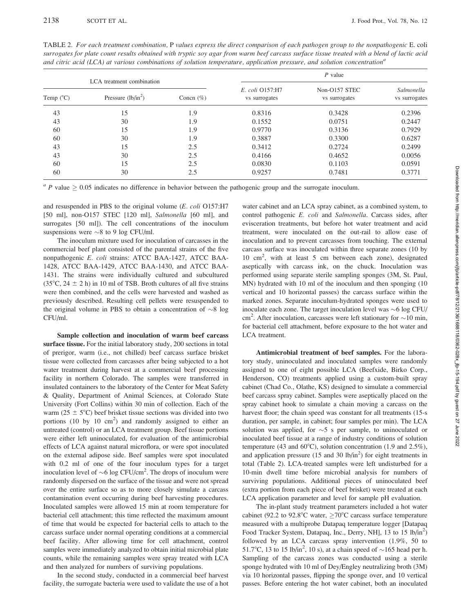2138 SCOTT ET AL. SCOTT ET AL. SCOTT ET AL. SCOTT ET AL. SCOTT ET AL. SCOTT ET AL.

| TABLE 2. For each treatment combination, P values express the direct comparison of each pathogen group to the nonpathogenic E. coli         |
|---------------------------------------------------------------------------------------------------------------------------------------------|
| surrogates for plate count results obtained with tryptic soy agar from warm beef carcass surface tissue treated with a blend of lactic acid |
| and citric acid (LCA) at various combinations of solution temperature, application pressure, and solution concentration <sup>a</sup>        |

|                    | LCA treatment combination |               | $P$ value                        |                                |                             |  |  |  |
|--------------------|---------------------------|---------------|----------------------------------|--------------------------------|-----------------------------|--|--|--|
| Temp $(^{\circ}C)$ | Pressure $(lb/in^2)$      | Concn $(\% )$ | E. coli Q157:H7<br>vs surrogates | Non-O157 STEC<br>vs surrogates | Salmonella<br>vs surrogates |  |  |  |
| 43                 | 15                        | 1.9           | 0.8316                           | 0.3428                         | 0.2396                      |  |  |  |
| 43                 | 30                        | 1.9           | 0.1552                           | 0.0751                         | 0.2447                      |  |  |  |
| 60                 | 15                        | 1.9           | 0.9770                           | 0.3136                         | 0.7929                      |  |  |  |
| 60                 | 30                        | 1.9           | 0.3887                           | 0.3300                         | 0.6287                      |  |  |  |
| 43                 | 15                        | 2.5           | 0.3412                           | 0.2724                         | 0.2499                      |  |  |  |
| 43                 | 30                        | 2.5           | 0.4166                           | 0.4652                         | 0.0056                      |  |  |  |
| 60                 | 15                        | 2.5           | 0.0830                           | 0.1103                         | 0.0591                      |  |  |  |
| 60                 | 30                        | 2.5           | 0.9257                           | 0.7481                         | 0.3771                      |  |  |  |

 $a$  P value  $\geq 0.05$  indicates no difference in behavior between the pathogenic group and the surrogate inoculum.

and resuspended in PBS to the original volume (E. coli O157:H7 [50 ml], non-O157 STEC [120 ml], Salmonella [60 ml], and surrogates [50 ml]). The cell concentrations of the inoculum suspensions were  $\sim$ 8 to 9 log CFU/ml.

The inoculum mixture used for inoculation of carcasses in the commercial beef plant consisted of the parental strains of the five nonpathogenic E. coli strains: ATCC BAA-1427, ATCC BAA-1428, ATCC BAA-1429, ATCC BAA-1430, and ATCC BAA-1431. The strains were individually cultured and subcultured (35 $^{\circ}$ C, 24  $\pm$  2 h) in 10 ml of TSB. Broth cultures of all five strains were then combined, and the cells were harvested and washed as previously described. Resulting cell pellets were resuspended to the original volume in PBS to obtain a concentration of  $\sim 8$  log CFU/ml.

Sample collection and inoculation of warm beef carcass surface tissue. For the initial laboratory study, 200 sections in total of prerigor, warm (i.e., not chilled) beef carcass surface brisket tissue were collected from carcasses after being subjected to a hot water treatment during harvest at a commercial beef processing facility in northern Colorado. The samples were transferred in insulated containers to the laboratory of the Center for Meat Safety & Quality, Department of Animal Sciences, at Colorado State University (Fort Collins) within 30 min of collection. Each of the warm (25  $\pm$  5°C) beef brisket tissue sections was divided into two portions (10 by 10  $\text{cm}^2$ ) and randomly assigned to either an untreated (control) or an LCA treatment group. Beef tissue portions were either left uninoculated, for evaluation of the antimicrobial effects of LCA against natural microflora, or were spot inoculated on the external adipose side. Beef samples were spot inoculated with 0.2 ml of one of the four inoculum types for a target inoculation level of  $\sim$ 6 log CFU/cm<sup>2</sup>. The drops of inoculum were randomly dispersed on the surface of the tissue and were not spread over the entire surface so as to more closely simulate a carcass contamination event occurring during beef harvesting procedures. Inoculated samples were allowed 15 min at room temperature for bacterial cell attachment; this time reflected the maximum amount of time that would be expected for bacterial cells to attach to the carcass surface under normal operating conditions at a commercial beef facility. After allowing time for cell attachment, control samples were immediately analyzed to obtain initial microbial plate counts, while the remaining samples were spray treated with LCA and then analyzed for numbers of surviving populations.

In the second study, conducted in a commercial beef harvest facility, the surrogate bacteria were used to validate the use of a hot water cabinet and an LCA spray cabinet, as a combined system, to control pathogenic E. coli and Salmonella. Carcass sides, after evisceration treatments, but before hot water treatment and acid treatment, were inoculated on the out-rail to allow ease of inoculation and to prevent carcasses from touching. The external carcass surface was inoculated within three separate zones (10 by 10 cm<sup>2</sup> , with at least 5 cm between each zone), designated aseptically with carcass ink, on the chuck. Inoculation was performed using separate sterile sampling sponges (3M, St. Paul, MN) hydrated with 10 ml of the inoculum and then sponging (10 vertical and 10 horizontal passes) the carcass surface within the marked zones. Separate inoculum-hydrated sponges were used to inoculate each zone. The target inoculation level was  $\sim$ 6 log CFU/ cm<sup>2</sup>. After inoculation, carcasses were left stationary for  $\sim$  10 min, for bacterial cell attachment, before exposure to the hot water and LCA treatment.

Antimicrobial treatment of beef samples. For the laboratory study, uninoculated and inoculated samples were randomly assigned to one of eight possible LCA (Beefxide, Birko Corp., Henderson, CO) treatments applied using a custom-built spray cabinet (Chad Co., Olathe, KS) designed to simulate a commercial beef carcass spray cabinet. Samples were aseptically placed on the spray cabinet hook to simulate a chain moving a carcass on the harvest floor; the chain speed was constant for all treatments (15-s duration, per sample, in cabinet; four samples per min). The LCA solution was applied, for  $\sim$  5 s per sample, to uninoculated or inoculated beef tissue at a range of industry conditions of solution temperature (43 and 60°C), solution concentration (1.9 and 2.5%), and application pressure (15 and 30 lb/in<sup>2</sup>) for eight treatments in total (Table 2). LCA-treated samples were left undisturbed for a 10-min dwell time before microbial analysis for numbers of surviving populations. Additional pieces of uninoculated beef (extra portion from each piece of beef brisket) were treated at each LCA application parameter and level for sample pH evaluation.

The in-plant study treatment parameters included a hot water cabinet (92.2 to 92.8°C water,  $\geq$ 70°C carcass surface temperature measured with a multiprobe Datapaq temperature logger [Datapaq Food Tracker System, Datapaq, Inc., Derry, NH], 13 to 15 lb/in<sup>2</sup>) followed by an LCA carcass spray intervention (1.9%, 50 to 51.7°C, 13 to 15 lb/in<sup>2</sup>, 10 s), at a chain speed of  $\sim$ 165 head per h. Sampling of the carcass zones was conducted using a sterile sponge hydrated with 10 ml of Dey/Engley neutralizing broth (3M) via 10 horizontal passes, flipping the sponge over, and 10 vertical passes. Before entering the hot water cabinet, both an inoculated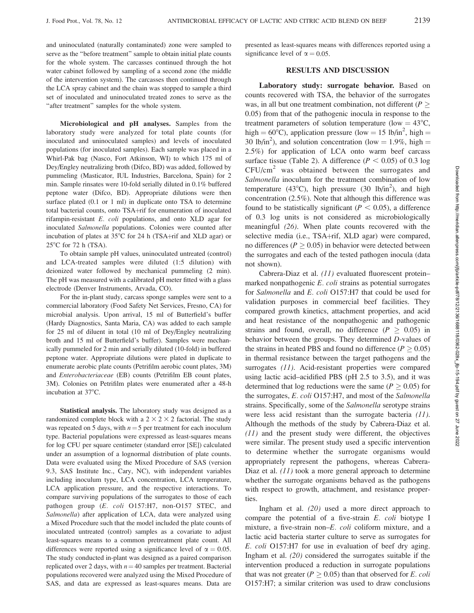and uninoculated (naturally contaminated) zone were sampled to serve as the ''before treatment'' sample to obtain initial plate counts for the whole system. The carcasses continued through the hot water cabinet followed by sampling of a second zone (the middle of the intervention system). The carcasses then continued through the LCA spray cabinet and the chain was stopped to sample a third set of inoculated and uninoculated treated zones to serve as the "after treatment" samples for the whole system.

Microbiological and pH analyses. Samples from the laboratory study were analyzed for total plate counts (for inoculated and uninoculated samples) and levels of inoculated populations (for inoculated samples). Each sample was placed in a Whirl-Pak bag (Nasco, Fort Atkinson, WI) to which 175 ml of Dey/Engley neutralizing broth (Difco, BD) was added, followed by pummeling (Masticator, IUL Industries, Barcelona, Spain) for 2 min. Sample rinsates were 10-fold serially diluted in 0.1% buffered peptone water (Difco, BD). Appropriate dilutions were then surface plated  $(0.1 \text{ or } 1 \text{ ml})$  in duplicate onto TSA to determine total bacterial counts, onto TSA+rif for enumeration of inoculated rifampin-resistant E. coli populations, and onto XLD agar for inoculated Salmonella populations. Colonies were counted after incubation of plates at  $35^{\circ}$ C for 24 h (TSA+rif and XLD agar) or  $25^{\circ}$ C for 72 h (TSA).

To obtain sample pH values, uninoculated untreated (control) and LCA-treated samples were diluted (1:5 dilution) with deionized water followed by mechanical pummeling (2 min). The pH was measured with a calibrated pH meter fitted with a glass electrode (Denver Instruments, Arvada, CO).

For the in-plant study, carcass sponge samples were sent to a commercial laboratory (Food Safety Net Services, Fresno, CA) for microbial analysis. Upon arrival, 15 ml of Butterfield's buffer (Hardy Diagnostics, Santa Maria, CA) was added to each sample for 25 ml of diluent in total (10 ml of Dey/Engley neutralizing broth and 15 ml of Butterfield's buffer). Samples were mechanically pummeled for 2 min and serially diluted (10-fold) in buffered peptone water. Appropriate dilutions were plated in duplicate to enumerate aerobic plate counts (Petrifilm aerobic count plates, 3M) and Enterobacteriaceae (EB) counts (Petrifilm EB count plates, 3M). Colonies on Petrifilm plates were enumerated after a 48-h incubation at 37°C.

Statistical analysis. The laboratory study was designed as a randomized complete block with a  $2 \times 2 \times 2$  factorial. The study was repeated on 5 days, with  $n=5$  per treatment for each inoculum type. Bacterial populations were expressed as least-squares means for log CFU per square centimeter (standard error [SE]) calculated under an assumption of a lognormal distribution of plate counts. Data were evaluated using the Mixed Procedure of SAS (version 9.3, SAS Institute Inc., Cary, NC), with independent variables including inoculum type, LCA concentration, LCA temperature, LCA application pressure, and the respective interactions. To compare surviving populations of the surrogates to those of each pathogen group (E. coli O157:H7, non-O157 STEC, and Salmonella) after application of LCA, data were analyzed using a Mixed Procedure such that the model included the plate counts of inoculated untreated (control) samples as a covariate to adjust least-squares means to a common pretreatment plate count. All differences were reported using a significance level of  $\alpha = 0.05$ . The study conducted in-plant was designed as a paired comparison replicated over 2 days, with  $n = 40$  samples per treatment. Bacterial populations recovered were analyzed using the Mixed Procedure of SAS, and data are expressed as least-squares means. Data are

presented as least-squares means with differences reported using a significance level of  $\alpha = 0.05$ .

## RESULTS AND DISCUSSION

Laboratory study: surrogate behavior. Based on counts recovered with TSA, the behavior of the surrogates was, in all but one treatment combination, not different  $(P >$ 0.05) from that of the pathogenic inocula in response to the treatment parameters of solution temperature (low  $= 43^{\circ}C$ , high =  $60^{\circ}$ C), application pressure (low = 15 lb/in<sup>2</sup>, high = 30 lb/in<sup>2</sup>), and solution concentration (low = 1.9%, high = 2.5%) for application of LCA onto warm beef carcass surface tissue (Table 2). A difference ( $P < 0.05$ ) of 0.3 log CFU/cm<sup>2</sup> was obtained between the surrogates and Salmonella inoculum for the treatment combination of low temperature (43°C), high pressure (30 lb/in<sup>2</sup>), and high concentration (2.5%). Note that although this difference was found to be statistically significant ( $P < 0.05$ ), a difference of 0.3 log units is not considered as microbiologically meaningful (26). When plate counts recovered with the selective media (i.e., TSA+rif, XLD agar) were compared, no differences ( $P \ge 0.05$ ) in behavior were detected between the surrogates and each of the tested pathogen inocula (data not shown).

Cabrera-Diaz et al. (11) evaluated fluorescent protein– marked nonpathogenic E. coli strains as potential surrogates for Salmonella and E. coli O157:H7 that could be used for validation purposes in commercial beef facilities. They compared growth kinetics, attachment properties, and acid and heat resistance of the nonpathogenic and pathogenic strains and found, overall, no difference ( $P \geq 0.05$ ) in behavior between the groups. They determined D-values of the strains in heated PBS and found no difference ( $P \ge 0.05$ ) in thermal resistance between the target pathogens and the surrogates (11). Acid-resistant properties were compared using lactic acid–acidified PBS (pH 2.5 to 3.5), and it was determined that log reductions were the same ( $P \ge 0.05$ ) for the surrogates, E. coli O157:H7, and most of the Salmonella strains. Specifically, some of the Salmonella serotype strains were less acid resistant than the surrogate bacteria (11). Although the methods of the study by Cabrera-Diaz et al. (11) and the present study were different, the objectives were similar. The present study used a specific intervention to determine whether the surrogate organisms would appropriately represent the pathogens, whereas Cabrera-Diaz et al. (11) took a more general approach to determine whether the surrogate organisms behaved as the pathogens with respect to growth, attachment, and resistance properties.

Ingham et al. (20) used a more direct approach to compare the potential of a five-strain E. coli biotype I mixture, a five-strain non–E. coli coliform mixture, and a lactic acid bacteria starter culture to serve as surrogates for E. coli O157:H7 for use in evaluation of beef dry aging. Ingham et al. (20) considered the surrogates suitable if the intervention produced a reduction in surrogate populations that was not greater ( $P \geq 0.05$ ) than that observed for E. coli O157:H7; a similar criterion was used to draw conclusions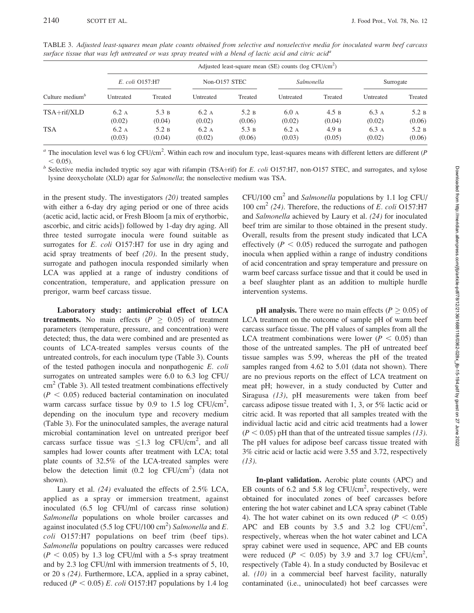| Culture medium $\delta$ |                 | Adjusted least-square mean (SE) counts ( $log CFU/cm2$ ) |                |                 |                |                 |                 |                 |  |  |  |  |
|-------------------------|-----------------|----------------------------------------------------------|----------------|-----------------|----------------|-----------------|-----------------|-----------------|--|--|--|--|
|                         | E. coli Q157:H7 |                                                          | Non-O157 STEC  |                 | Salmonella     |                 | Surrogate       |                 |  |  |  |  |
|                         | Untreated       | Treated                                                  | Untreated      | Treated         | Untreated      | Treated         | Untreated       | Treated         |  |  |  |  |
| $TSA + rif/XLD$         | 6.2A<br>(0.02)  | 5.3 B<br>(0.04)                                          | 6.2A<br>(0.02) | 5.2 B<br>(0.06) | 6.0A<br>(0.02) | 4.5 B<br>(0.04) | 6.3 A<br>(0.02) | 5.2 B<br>(0.06) |  |  |  |  |
| <b>TSA</b>              | 6.2A<br>(0.03)  | 5.2 B<br>(0.04)                                          | 6.2A<br>(0.02) | 5.3 B<br>(0.06) | 6.2A<br>(0.03) | 4.9 B<br>(0.05) | 6.3 A<br>(0.02) | 5.2 B<br>(0.06) |  |  |  |  |

TABLE 3. Adjusted least-squares mean plate counts obtained from selective and nonselective media for inoculated warm beef carcass surface tissue that was left untreated or was spray treated with a blend of lactic acid and citric acid<sup>a</sup>

<sup>a</sup> The inoculation level was 6 log CFU/cm<sup>2</sup>. Within each row and inoculum type, least-squares means with different letters are different (P % o.05). b Selective media included tryptic soy agar with rifampin (TSA+rif) for E. coli O157:H7, non-O157 STEC, and surrogates, and xylose

lysine deoxycholate (XLD) agar for Salmonella; the nonselective medium was TSA.

in the present study. The investigators  $(20)$  treated samples with either a 6-day dry aging period or one of three acids (acetic acid, lactic acid, or Fresh Bloom [a mix of erythorbic, ascorbic, and citric acids]) followed by 1-day dry aging. All three tested surrogate inocula were found suitable as surrogates for *E. coli* O157:H7 for use in dry aging and acid spray treatments of beef (20). In the present study, surrogate and pathogen inocula responded similarly when LCA was applied at a range of industry conditions of concentration, temperature, and application pressure on prerigor, warm beef carcass tissue.

Laboratory study: antimicrobial effect of LCA treatments. No main effects ( $P \geq 0.05$ ) of treatment parameters (temperature, pressure, and concentration) were detected; thus, the data were combined and are presented as counts of LCA-treated samples versus counts of the untreated controls, for each inoculum type (Table 3). Counts of the tested pathogen inocula and nonpathogenic E. coli surrogates on untreated samples were 6.0 to 6.3 log CFU/  $\text{cm}^2$  (Table 3). All tested treatment combinations effectively  $(P < 0.05)$  reduced bacterial contamination on inoculated warm carcass surface tissue by  $0.9$  to  $1.5$  log CFU/cm<sup>2</sup>, depending on the inoculum type and recovery medium (Table 3). For the uninoculated samples, the average natural microbial contamination level on untreated prerigor beef carcass surface tissue was  $\leq 1.3$  log CFU/cm<sup>2</sup>, and all samples had lower counts after treatment with LCA; total plate counts of 32.5% of the LCA-treated samples were below the detection limit  $(0.2 \text{ log } CFU/cm^2)$  (data not shown).

Laury et al. (24) evaluated the effects of 2.5% LCA, applied as a spray or immersion treatment, against inoculated (6.5 log CFU/ml of carcass rinse solution) Salmonella populations on whole broiler carcasses and against inoculated (5.5 log CFU/100 cm<sup>2</sup>) Salmonella and E. coli O157:H7 populations on beef trim (beef tips). Salmonella populations on poultry carcasses were reduced  $(P < 0.05)$  by 1.3 log CFU/ml with a 5-s spray treatment and by 2.3 log CFU/ml with immersion treatments of 5, 10, or 20 s (24). Furthermore, LCA, applied in a spray cabinet, reduced ( $P < 0.05$ ) E. coli O157:H7 populations by 1.4 log  $CFU/100$  cm<sup>2</sup> and *Salmonella* populations by 1.1 log CFU/ 100 cm<sup>2</sup> (24). Therefore, the reductions of E. coli O157:H7 and Salmonella achieved by Laury et al. (24) for inoculated beef trim are similar to those obtained in the present study. Overall, results from the present study indicated that LCA effectively ( $P < 0.05$ ) reduced the surrogate and pathogen inocula when applied within a range of industry conditions of acid concentration and spray temperature and pressure on warm beef carcass surface tissue and that it could be used in a beef slaughter plant as an addition to multiple hurdle intervention systems.

**pH analysis.** There were no main effects ( $P \ge 0.05$ ) of LCA treatment on the outcome of sample pH of warm beef carcass surface tissue. The pH values of samples from all the LCA treatment combinations were lower ( $P < 0.05$ ) than those of the untreated samples. The pH of untreated beef tissue samples was 5.99, whereas the pH of the treated samples ranged from 4.62 to 5.01 (data not shown). There are no previous reports on the effect of LCA treatment on meat pH; however, in a study conducted by Cutter and Siragusa (13), pH measurements were taken from beef carcass adipose tissue treated with 1, 3, or 5% lactic acid or citric acid. It was reported that all samples treated with the individual lactic acid and citric acid treatments had a lower  $(P < 0.05)$  pH than that of the untreated tissue samples (13). The pH values for adipose beef carcass tissue treated with 3% citric acid or lactic acid were 3.55 and 3.72, respectively  $(13)$ .

In-plant validation. Aerobic plate counts (APC) and EB counts of 6.2 and 5.8 log  $CFU/cm<sup>2</sup>$ , respectively, were obtained for inoculated zones of beef carcasses before entering the hot water cabinet and LCA spray cabinet (Table 4). The hot water cabinet on its own reduced ( $P < 0.05$ ) APC and EB counts by  $3.5$  and  $3.2$  log CFU/cm<sup>2</sup>, respectively, whereas when the hot water cabinet and LCA spray cabinet were used in sequence, APC and EB counts were reduced ( $P < 0.05$ ) by 3.9 and 3.7 log CFU/cm<sup>2</sup>, respectively (Table 4). In a study conducted by Bosilevac et al. (10) in a commercial beef harvest facility, naturally contaminated (i.e., uninoculated) hot beef carcasses were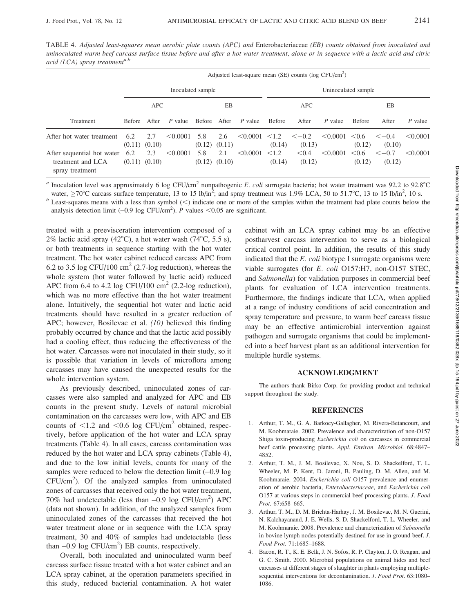TABLE 4. Adjusted least-squares mean aerobic plate counts (APC) and Enterobacteriaceae (EB) counts obtained from inoculated and uninoculated warm beef carcass surface tissue before and after a hot water treatment, alone or in sequence with a lactic acid and citric acid (LCA) spray treatment<sup>a,b</sup>

|                                                                    | Adjusted least-square mean (SE) counts ( $log CFU/cm2$ ) |                          |          |              |                          |          |                      |                       |               |                      |                       |          |
|--------------------------------------------------------------------|----------------------------------------------------------|--------------------------|----------|--------------|--------------------------|----------|----------------------|-----------------------|---------------|----------------------|-----------------------|----------|
|                                                                    | Inoculated sample                                        |                          |          |              |                          |          | Uninoculated sample  |                       |               |                      |                       |          |
|                                                                    | <b>APC</b>                                               |                          | EB       |              | <b>APC</b>               |          | EB                   |                       |               |                      |                       |          |
| <b>Treatment</b>                                                   | <b>Before</b>                                            | After                    | P value  | Before After |                          | P value  | <b>Before</b>        | After                 | P value       | <b>Before</b>        | After                 | P value  |
| After hot water treatment                                          | 6.2                                                      | 2.7<br>$(0.11)$ $(0.10)$ | < 0.0001 | 5.8          | 2.6<br>$(0.12)$ $(0.11)$ | < 0.0001 | $\leq 1.2$<br>(0.14) | $\leq -0.2$<br>(0.13) | $\leq 0.0001$ | $\leq 0.6$<br>(0.12) | $\leq -0.4$<br>(0.10) | < 0.0001 |
| After sequential hot water<br>treatment and LCA<br>spray treatment | 6.2                                                      | 2.3<br>$(0.11)$ $(0.10)$ | < 0.0001 | 5.8          | 2.1<br>$(0.12)$ $(0.10)$ | < 0.0001 | $\leq 1.2$<br>(0.14) | < 0.4<br>(0.12)       | < 0.0001      | < 0.6<br>(0.12)      | $<-0.7$<br>(0.12)     | < 0.0001 |

<sup>a</sup> Inoculation level was approximately 6 log CFU/cm<sup>2</sup> nonpathogenic E. coli surrogate bacteria; hot water treatment was 92.2 to 92.8°C water,  $\geq$ 70°C carcass surface temperature, 13 to 15 lb/in<sup>2</sup>; and spray treatment was 1.9% LCA, 50 to 51.7°C, 13 to 15 lb/in<sup>2</sup>

 $<sup>b</sup>$  Least-squares means with a less than symbol (<) indicate one or more of the samples within the treatment had plate counts below the</sup> analysis detection limit  $(-0.9 \log CFU/cm^2)$ . P values <0.05 are significant.

treated with a preevisceration intervention composed of a 2% lactic acid spray (42 $^{\circ}$ C), a hot water wash (74 $^{\circ}$ C, 5.5 s), or both treatments in sequence starting with the hot water treatment. The hot water cabinet reduced carcass APC from 6.2 to 3.5 log CFU/100 cm<sup>2</sup> (2.7-log reduction), whereas the whole system (hot water followed by lactic acid) reduced APC from 6.4 to 4.2 log CFU/100  $\text{cm}^2$  (2.2-log reduction), which was no more effective than the hot water treatment alone. Intuitively, the sequential hot water and lactic acid treatments should have resulted in a greater reduction of APC; however, Bosilevac et al. (10) believed this finding probably occurred by chance and that the lactic acid possibly had a cooling effect, thus reducing the effectiveness of the hot water. Carcasses were not inoculated in their study, so it is possible that variation in levels of microflora among carcasses may have caused the unexpected results for the whole intervention system.

As previously described, uninoculated zones of carcasses were also sampled and analyzed for APC and EB counts in the present study. Levels of natural microbial contamination on the carcasses were low, with APC and EB counts of  $\leq$ 1.2 and  $\leq$ 0.6 log CFU/cm<sup>2</sup> obtained, respectively, before application of the hot water and LCA spray treatments (Table 4). In all cases, carcass contamination was reduced by the hot water and LCA spray cabinets (Table 4), and due to the low initial levels, counts for many of the samples were reduced to below the detection limit  $(-0.9 \log x)$ CFU/cm<sup>2</sup> ). Of the analyzed samples from uninoculated zones of carcasses that received only the hot water treatment, 70% had undetectable (less than  $-0.9$  log CFU/cm<sup>2</sup>) APC (data not shown). In addition, of the analyzed samples from uninoculated zones of the carcasses that received the hot water treatment alone or in sequence with the LCA spray treatment, 30 and 40% of samples had undetectable (less than  $-0.9$  log CFU/cm<sup>2</sup>) EB counts, respectively.

Overall, both inoculated and uninoculated warm beef carcass surface tissue treated with a hot water cabinet and an LCA spray cabinet, at the operation parameters specified in this study, reduced bacterial contamination. A hot water cabinet with an LCA spray cabinet may be an effective postharvest carcass intervention to serve as a biological critical control point. In addition, the results of this study indicated that the  $E.$  coli biotype I surrogate organisms were viable surrogates (for E. coli O157:H7, non-O157 STEC, and Salmonella) for validation purposes in commercial beef plants for evaluation of LCA intervention treatments. Furthermore, the findings indicate that LCA, when applied at a range of industry conditions of acid concentration and spray temperature and pressure, to warm beef carcass tissue may be an effective antimicrobial intervention against pathogen and surrogate organisms that could be implemented into a beef harvest plant as an additional intervention for multiple hurdle systems.

#### ACKNOWLEDGMENT

The authors thank Birko Corp. for providing product and technical support throughout the study.

#### REFERENCES

- 1. Arthur, T. M., G. A. Barkocy-Gallagher, M. Rivera-Betancourt, and M. Koohmaraie. 2002. Prevalence and characterization of non-O157 Shiga toxin-producing Escherichia coli on carcasses in commercial beef cattle processing plants. Appl. Environ. Microbiol. 68:4847– 4852.
- 2. Arthur, T. M., J. M. Bosilevac, X. Nou, S. D. Shackelford, T. L. Wheeler, M. P. Kent, D. Jaroni, B. Pauling, D. M. Allen, and M. Koohmaraie. 2004. Escherichia coli O157 prevalence and enumeration of aerobic bacteria, Enterobacteriaceae, and Escherichia coli O157 at various steps in commercial beef processing plants. J. Food Prot. 67:658-665.
- 3. Arthur, T. M., D. M. Brichta-Harhay, J. M. Bosilevac, M. N. Guerini, N. Kalchayanand, J. E. Wells, S. D. Shackelford, T. L. Wheeler, and M. Koohmaraie. 2008. Prevalence and characterization of Salmonella in bovine lymph nodes potentially destined for use in ground beef. J. Food Prot. 71:1685–1688.
- 4. Bacon, R. T., K. E. Belk, J. N. Sofos, R. P. Clayton, J. O. Reagan, and G. C. Smith. 2000. Microbial populations on animal hides and beef carcasses at different stages of slaughter in plants employing multiplesequential interventions for decontamination. J. Food Prot. 63:1080-1086.